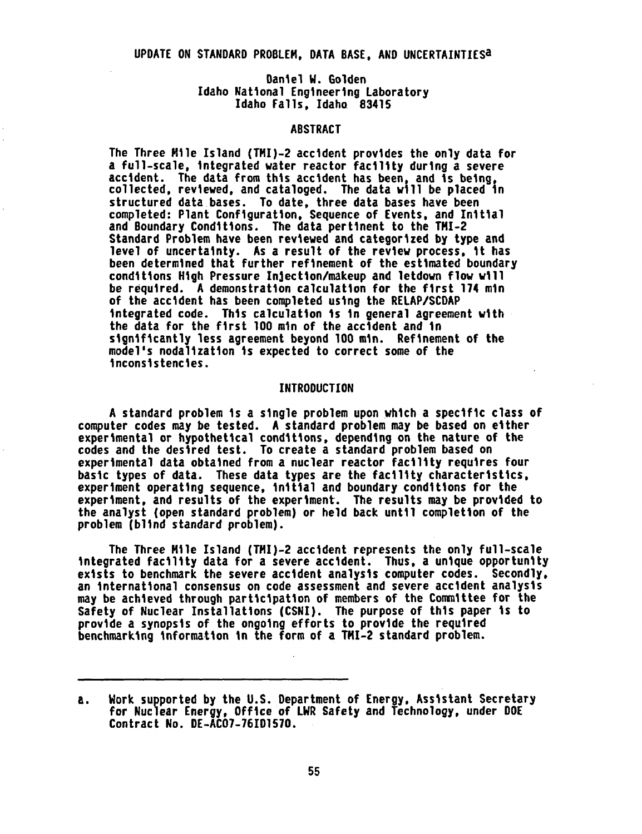# Daniel W. Golden Idaho National Engineering Laboratory Idaho Falls, Idaho 83415

# ABSTRACT

The Three Mile Island (TMI)-2 accident provides the only data for a full-scale, integrated water reactor facility during a severe accident. The data from this accident has been, and is being, collected, reviewed, and cataloged. The data will be placed in structured data bases. To date, three data bases have been completed: Plant Configuration, Sequence of Events, and Initial and Boundary Conditions. The data pertinent to the TMI-2 Standard Problem have been reviewed and categorized by type and level of uncertainty. As a result of the review process, it has been determined that further refinement of the estimated boundary conditions High Pressure Injection/makeup and letdown flow will be required. A demonstration calculation for the first 174 min of the accident has been completed using the RELAP/SCDAP integrated code. This calculation is in general agreement with the data for the first 100 min of the accident and in significantly less agreement beyond 100 min. Refinement of the model's nodalization is expected to correct some of the inconsistencies.

#### INTRODUCTION

A standard problem is a single problem upon which a specific class of computer codes may be tested. A standard problem may be based on either experimental or hypothetical conditions, depending on the nature of the codes and the desired test. To create a standard problem based on experimental data obtained from a nuclear reactor facility requires four basic types of data. These data types are the facility characteristics, experiment operating sequence, initial and boundary conditions for the experiment, and results of the experiment. The results may be provided to the analyst (open standard problem) or held back until completion of the problem (blind standard problem).

The Three Mile Island (TMI)-2 accident represents the only full-scale integrated facility data for a severe accident. Thus, a unique opportunity exists to benchmark the severe accident analysis computer codes. Secondly, an international consensus on code assessment and severe accident analysis may be achieved through participation of members of the Committee for the Safety of Nuclear Installations (CSNI). The purpose of this paper is to provide a synopsis of the ongoing efforts to provide the required benchmarking information in the form of a TMI-2 standard problem.

a. Work supported by the U.S. Department of Energy, Assistant Secretary for Nuclear Energy, Office of LWR Safety and Technology, under DOE Contract No. DE-AC07-76101570.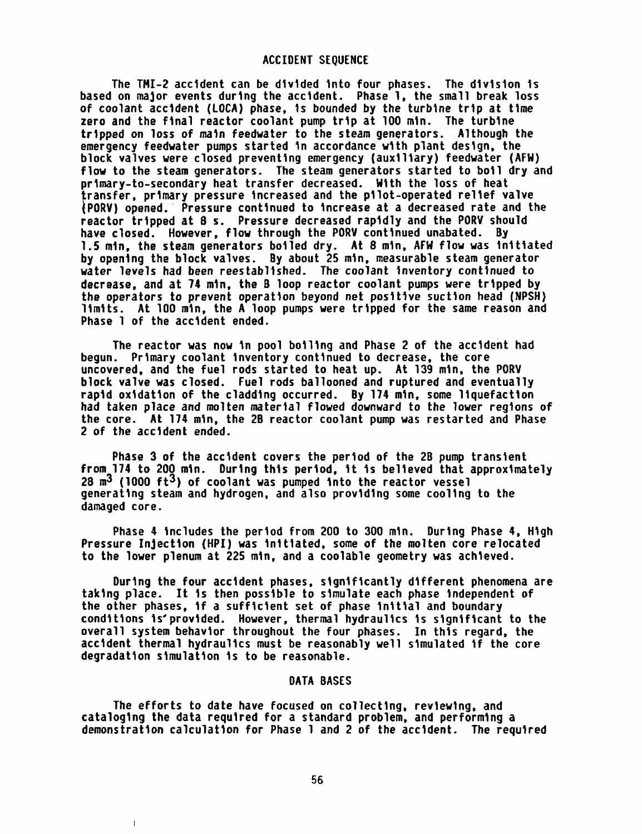The TMI-2 accident can be divided into four phases. The division is based on major events during the accident. Phase 1, the small break loss of coolant accident (LOCA) phase, is bounded by the turbine trip at time zero and the final reactor coolant pump trip at 100 min. The turbine tripped on loss of main feedwater to the steam generators. Although the emergency feedwater pumps started in accordance with plant design, the block valves were closed preventing emergency (auxiliary) feedwater (AFW) flow to the steam generators. The steam generators started to boil dry and primary-to-secondary heat transfer decreased. With the loss of heat transfer, primary pressure increased and the pilot-operated relief valve 1PORY) opened. Pressure continued to increase at a decreased rate and the reactor tripped at 8 s. Pressure decreased rapidly and the PORV should have closed. However, flow through the PORV continued unabated. By 1.5 min, the steam generators boiled dry. At 8 min, AFW flow was initiated by opening the block valves. By about 25 min, measurable steam generator water levels had been reestablished. The coolant inventory continued to decrease, and at 74 min, the B loop reactor coolant pumps were tripped by the operators to prevent operation beyond net positive suction head (NPSH) limits. At 100 min, the A loop pumps were tripped for the same reason and Phase 1 of the accident ended.

The reactor was now in pool boiling and Phase 2 of the accident had begun. Primary coolant inventory continued to decrease, the core uncovered, and the fuel rods started to heat up. At 139 min, the PORV block valve was closed. Fuel rods ballooned and ruptured and eventually rapid oxidation of the cladding occurred. By 174 min, some liquefaction had taken place and molten material flowed downward to the lower regions of the core. At 174 min, the 2B reactor coolant pump was restarted and Phase 2 of the accident ended.

Phase 3 of the accident covers the period of the 2B pump transient from 174 to 200 min. During this period, it is believed that approximately 28  $m<sup>3</sup>$  (1000 ft<sup>3</sup>) of coolant was pumped into the reactor vessel generating steam and hydrogen, and also providing some cooling to the damaged core.

Phase 4 includes the period from 200 to 300 min. During Phase 4, High Pressure Injection (HPI) was initiated, some of the molten core relocated to the lower plenum at 225 min, and a coolable geometry was achieved.

During the four accident phases, significantly different phenomena are taking place. It is then possible to simulate each phase independent of the other phases, if a sufficient set of phase initial and boundary conditions is'provided. However, thermal hydraulics is significant to the overall system behavior throughout the four phases. In this regard, the accident thermal hydraulics must be reasonably well simulated if the core degradation simulation is to be reasonable.

### DATA BASES

The efforts to date have focused on collecting, reviewing, and cataloging the data required for a standard problem, and performing a demonstration calculation for Phase 1 and 2 of the accident. The required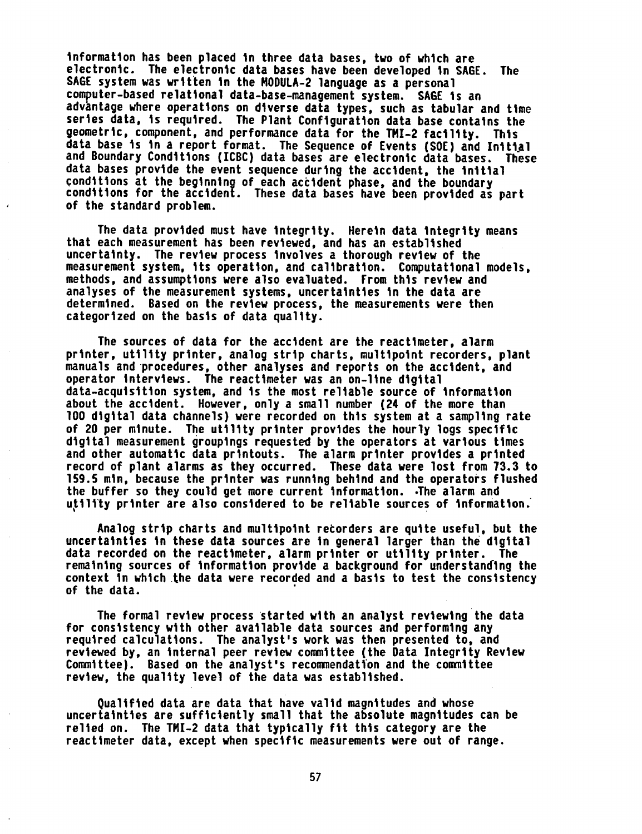information has been placed in three data bases, two of which are electronic. The electronic data bases have been developed in SAGE. The SAGE system was written in the MODULA-2 language as a personal computer-based relational data-base-management system. SAGE is an advantage where operations on diverse data types, such as tabular and time series data, is required. The Plant Configuration data base contains the geometric, component, and performance data for the TMI-2 facility. This data base is in a report format. The Sequence of Events (SOE) and Initial and Boundary Conditions (ICBC) data bases are electronic data bases. These data bases provide the event sequence during the accident, the initial conditions at the beginning of each accident phase, and the boundary conditions for the accident. These data bases have been provided as part of the standard problem.

The data provided must have integrity. Herein data integrity means that each measurement has been reviewed, and has an established uncertainty. The review process involves a thorough review of the measurement system, its operation, and calibration. Computational models, methods, and assumptions were also evaluated. From this review and analyses of the measurement systems, uncertainties in the data are determined. Based on the review process, the measurements were then categorized on the basis of data quality.

The sources of data for the accident are the reactimeter, alarm printer, utility printer, analog strip charts, multipoint recorders, plant manuals and procedures, other analyses and reports on the accident, and operator interviews. The reactimeter was an on-line digital data-acquisition system, and is the most reliable source of information about the accident. However, only a small number (24 of the more than 100 digital data channels) were recorded on this system at a sampling rate of 20 per minute. The utility printer provides the hourly logs specific digital measurement groupings requested by the operators at various times and other automatic data printouts. The alarm printer provides a printed record of plant alarms as they occurred. These data were lost from 73.3 to 159.5 min, because the printer was running behind and the operators flushed the buffer so they could get more current information. .The alarm and utility printer are also considered to be reliable sources of information.

Analog strip charts and multipoint recorders are quite useful, but the uncertainties in these data sources are in general larger than the digital data recorded on the reactimeter, alarm printer or utility printer. The remaining sources of information provide a background for understanding the context in which the data were recorded and a basis to test the consistency of the data.

The formal review process started with an analyst reviewing the data for consistency with other available data sources and performing any required calculations. The analyst's work was then presented to, and reviewed by, an internal peer review committee (the Data Integrity Review Committee). Based on the analyst's recommendation and the committee review, the quality level of the data was established.

Qualified data are data that have valid magnitudes and whose uncertainties are sufficiently small that the absolute magnitudes can be relied on. The TMI-2 data that typically fit this category are the reactimeter data, except when specific measurements were out of range.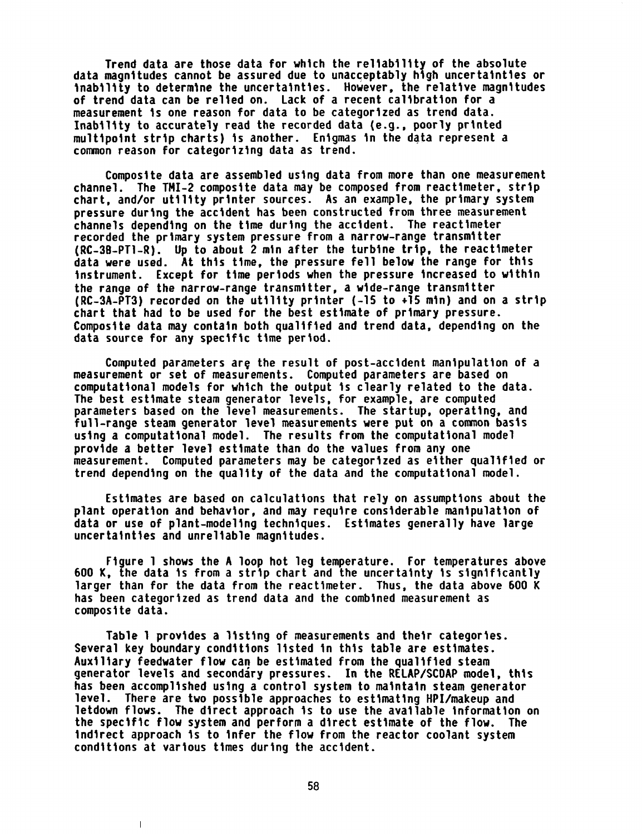Trend data are those data for which the reliability of the absolute data magnitudes cannot be assured due to unacceptably high uncertainties or inability to determine the uncertainties. However, the relative magnitudes of trend data can be relied on. Lack of a recent calibration for a measurement is one reason for data to be categorized as trend data. Inability to accurately read the recorded data (e.g., poorly printed multipoint strip charts) is another. Enigmas in the data represent a common reason for categorizing data as trend.

Composite data are assembled using data from more than one measurement channel. The TMI-2 composite data may be composed from reactimeter, strip chart, and/or utility printer sources. As an example, the primary system pressure during the accident has been constructed from three measurement channels depending on the time during the accident. The reactimeter recorded the primary system pressure from a narrow-range transmitter (RC-38-PTl-R). Up to about 2 min after the turbine trip, the reactimeter data were used. At this time, the pressure fell below the range for this instrument. Except for time periods when the pressure increased to within the range of the narrow-range transmitter, a wide-range transmitter  $(RC-3A-PT3)$  recorded on the utility printer  $(-15$  to  $+15$  min) and on a strip chart that had to be used for the best estimate of primary pressure. Composite data may contain both qualified and trend data, depending on the data source for any specific time period.

Computed parameters are the result of post-accident manipulation of a measurement or set of measurements. Computed parameters are based on computational models for which the output is clearly related to the data. The best estimate steam generator levels, for example, are computed parameters based on the level measurements. The startup, operating, and full-range steam generator level measurements were put on a common basis using a computational model. The results from the computational model provide a better level estimate than do the values from any one measurement. Computed parameters may be categorized as either qualified or trend depending on the quality of the data and the computational model.

Estimates are based on calculations that rely on assumptions about the plant operation and behavior, and may require considerable manipulation of data or use of plant-modeling techniques. Estimates generally have large uncertainties and unreliable magnitudes.

Figure 1 shows the A loop hot leg temperature. For temperatures above 600 K, the data is from a strip chart and the uncertainty is significantly larger than for the data from the reactimeter. Thus, the data above 600 K has been categorized as trend data and the combined measurement as composite data.

Table I provides a listing of measurements and their categories. Several key boundary conditions listed in this table are estimates. Auxiliary feedwater flow can be estimated from the qualified steam generator levels and secondary pressures. In the RELAP/SCOAP model, this has been accomplished using a control system to maintain steam generator level. There are two possible approaches to estimating HPI/makeup and letdown flows. The direct approach is to use the available information on the specific flow system and perform a direct estimate of the flow. The indirect approach is to infer the flow from the reactor coolant system conditions at various times during the accident.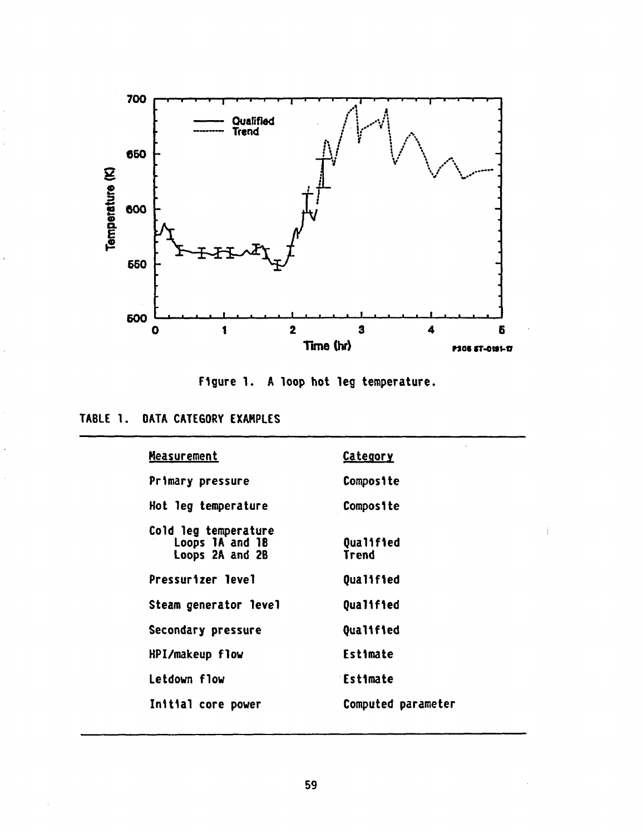

Figure 1. A loop hot leg temperature.

|  | <b>TABLE 1. DATA CATEGORY EXAMPLES</b> |
|--|----------------------------------------|
|--|----------------------------------------|

| <b>Measurement</b>                                         | <b>Category</b>           |
|------------------------------------------------------------|---------------------------|
| Primary pressure                                           | <b>Composite</b>          |
| Hot leg temperature                                        | Composite                 |
| Cold leg temperature<br>Loops 1A and 1B<br>Loops 2A and 2B | Qualified<br><b>Trend</b> |
| <b>Pressurizer level</b>                                   | Qualified                 |
| Steam generator level                                      | Qualified                 |
| Secondary pressure                                         | Qualified                 |
| HPI/makeup flow                                            | Estimate                  |
| Letdown flow                                               | Estimate                  |
| Initial core power                                         | Computed parameter        |
|                                                            |                           |

 $\hat{\mathbf{I}}$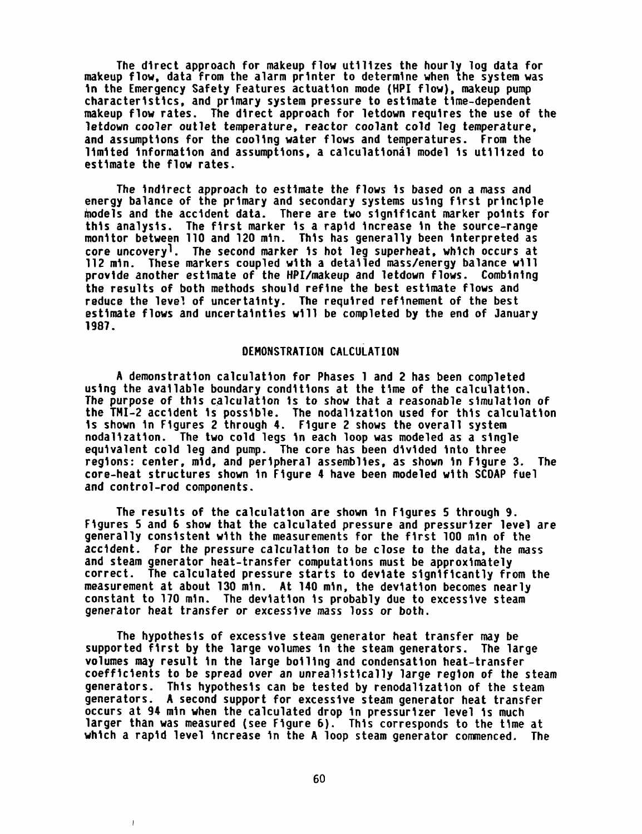The direct approach for makeup flow utilizes the hourly log data for makeup flow, data from the alarm printer to determine when the system was in the Emergency Safety Features actuation mode (HPI flow), makeup pump characteristics, and primary system pressure to estimate time-dependent makeup flow rates. The direct approach for letdown requires the use of the letdown cooler outlet temperature, reactor coolant cold leg temperature, and assumptions for the cooling water flows and temperatures. From the limited information and assumptions, a calculational model is utilized to estimate the flow rates.

The indirect approach to estimate the flows is based on a mass and energy balance of the primary and secondary systems using first principle models and the accident data. There are two significant marker points for this analysis. The first marker is a rapid increase in the source-range monitor between 110 and 120 min. This has generally been interpreted as core uncoveryl. The second marker is hot leg superheat, which occurs at 112 min. These markers coupled with a detailed mass/energy balance will provide another estimate of the HPI/makeup and letdown flows. Combining the results of both methods should refine the best estimate flows and reduce the level of uncertainty. The required refinement of the best estimate flows and uncertainties will be completed by the end of January 1987.

# DEMONSTRATION CALCULATION

A demonstration calculation for Phases 1 and 2 has been completed using the available boundary conditions at the time of the calculation. The purpose of this calculation is to show that a reasonable simulation of the TMI-2 accident is possible. The nodalization used for this calculation is shown in Figures 2 through 4. Figure 2 shows the overall system nodalization. The two cold legs in each loop was modeled as a single equivalent cold leg and pump. The core has been divided into three regions: center, mid, and peripheral assemblies, as shown in Figure 3. The core-heat structures shown in Figure 4 have been modeled with SCOAP fuel and control-rod components.

The results of the calculation are shown in Figures 5 through 9. Figures 5 and 6 show that the calculated pressure and pressurizer level are generally consistent with the measurements for the first 100 min of the accident. For the pressure calculation to be close to the data, the mass and steam generator heat-transfer computations must be approximately correct. The calculated pressure starts to deviate significantly from the measurement at about 130 min. At 140 min, the deviation becomes nearly constant to 170 min. The deviation is probably due to excessive steam generator heat transfer or excessive mass loss or both.

The hypothesis of excessive steam generator heat transfer may be supported first by the large volumes in the steam generators. The large volumes may result in the large boiling and condensation heat-transfer coefficients to be spread over an unrealistically large region of the steam generators. This hypothesis can be tested by renodalization of the steam generators. A second support for excessive steam generator heat transfer occurs at 94 min when the calculated drop in pressurizer level is much larger than was measured (see Figure 6). This corresponds to the time at which a rapid level increase in the A loop steam generator commenced. The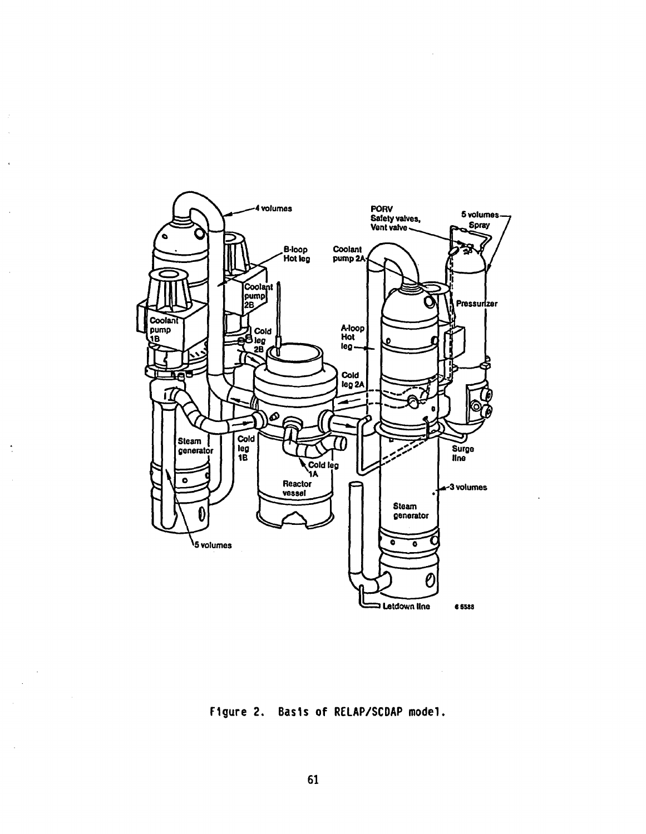

 $\lambda$ 

J,

 $\ddot{\phantom{0}}$ 

 $\bar{z}$ 

Figure 2. Basis of RELAP/SCDAP model.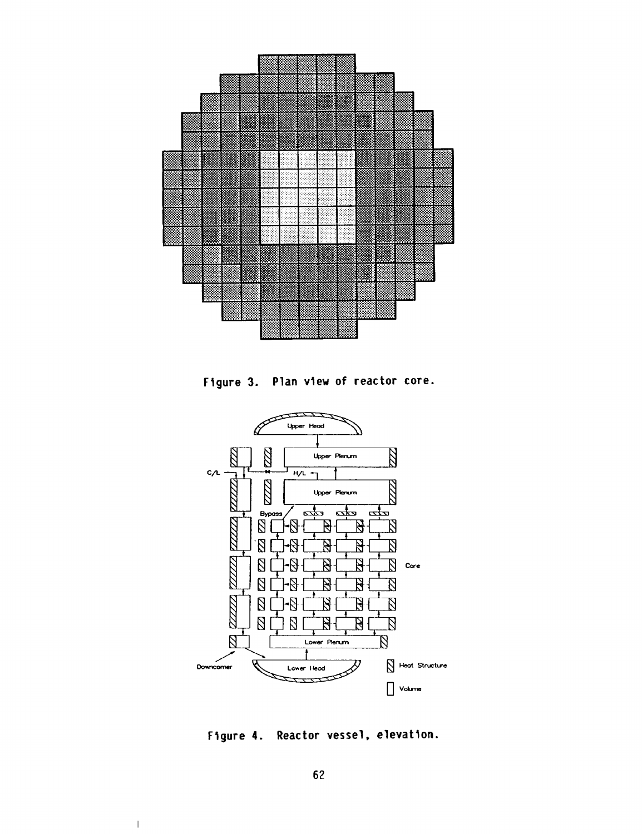

Figure 3. Plan view of reactor core.



Figure 4. Reactor vessel, elevation.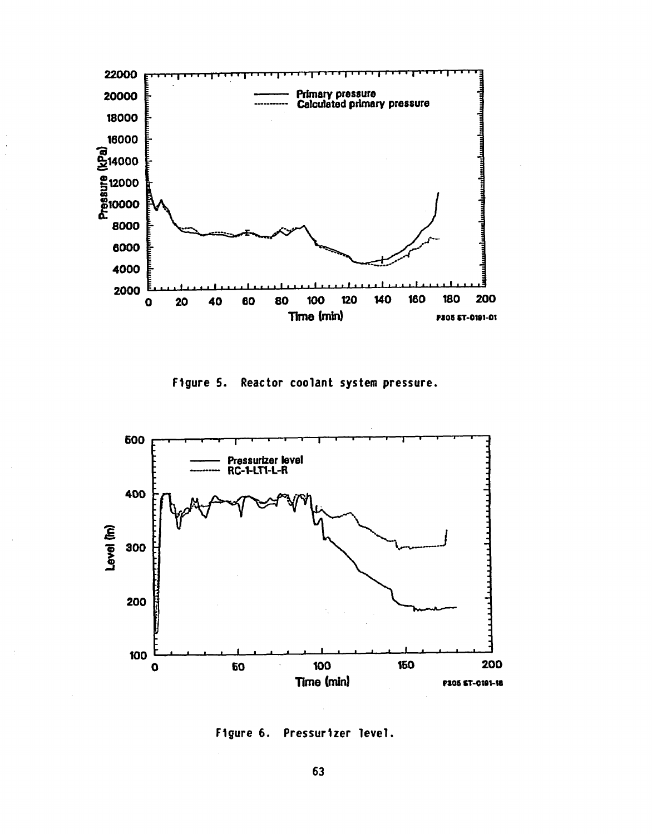

Figure 5. Reactor coolant system pressure.



Figure 6. Pressurizer level.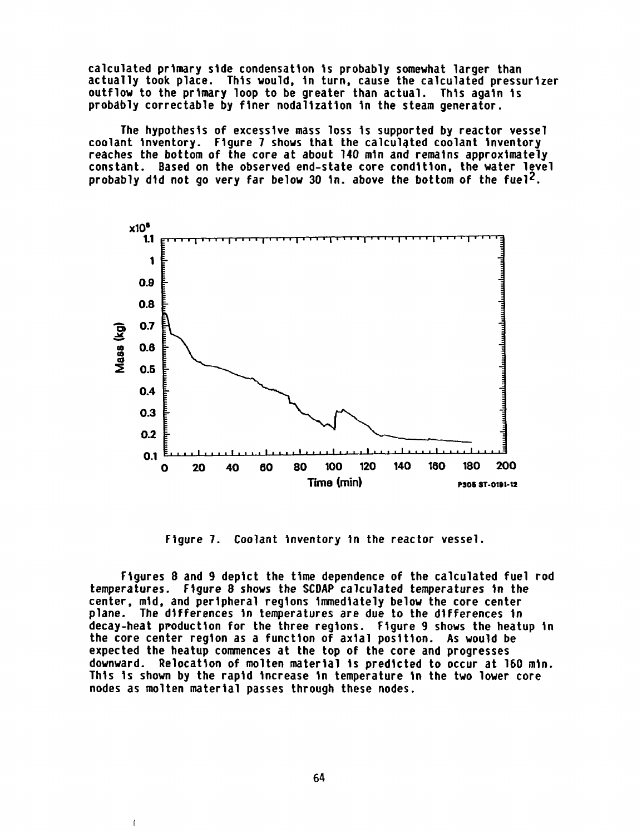calculated primary side condensation is probably somewhat larger than actually took place. This would, in turn, cause the calculated pressurizer outflow to the primary loop to be greater than actual. This again is probably correctable by finer nodalization in the steam generator.

The hypothesis of excessive mass loss is supported by reactor vessel coolant inventory. Figure 7 shows that the calculated coolant inventory reaches the bottom of the core at about 140 min and remains approximately constant. Based on the observed end-state core condition, the water level probably did not go very far below 30 in. above the bottom of the fuel<sup>2</sup>.



Figure 7. Coolant inventory in the reactor vessel.

Figures 8 and 9 depict the time dependence of the calculated fuel rod temperatures. Figure 8 shows the SCDAP calculated temperatures in the center, mid, and peripheral regions immediately below the core center plane. The differences in temperatures are due to the differences in decay-heat production for the three regions. Figure 9 shows the heatup in the core center region as a function of axial position. As would be expected the heatup commences at the top of the core and progresses downward. Relocation of molten material is predicted to occur at 160 min. This is shown by the rapid increase in temperature in the two lower core nodes as molten material passes through these nodes.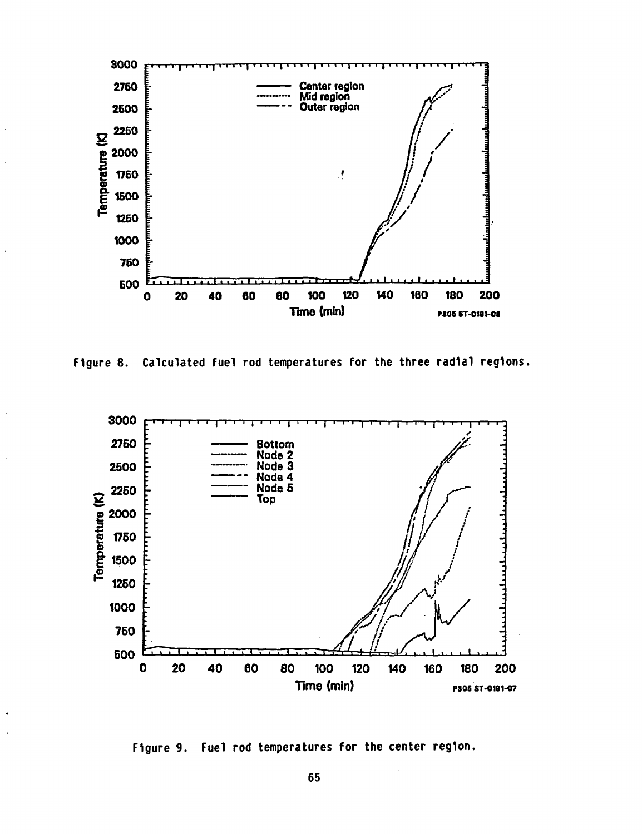

Figure 8. Calculated fuel rod temperatures for the three radial regions.



Figure 9. Fuel rod temperatures for the center region.